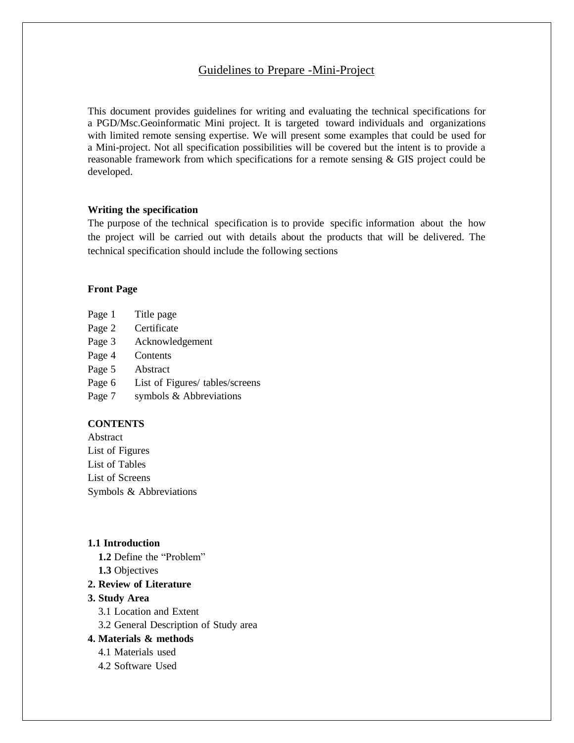# Guidelines to Prepare -Mini-Project

This document provides guidelines for writing and evaluating the technical specifications for a PGD/Msc.Geoinformatic Mini project. It is targeted toward individuals and organizations with limited remote sensing expertise. We will present some examples that could be used for a Mini-project. Not all specification possibilities will be covered but the intent is to provide a reasonable framework from which specifications for a remote sensing & GIS project could be developed.

#### **Writing the specification**

The purpose of the technical specification is to provide specific information about the how the project will be carried out with details about the products that will be delivered. The technical specification should include the following sections

#### **Front Page**

- Page 1 Title page
- Page 2 Certificate
- Page 3 Acknowledgement
- Page 4 Contents
- Page 5 Abstract
- Page 6 List of Figures/ tables/screens
- Page 7 symbols & Abbreviations

## **CONTENTS**

Abstract List of Figures List of Tables List of Screens Symbols & Abbreviations

#### **1.1 Introduction**

- **1.2** Define the "Problem" **1.3** Objectives
- **2. Review of Literature**
- **3. Study Area**
	- 3.1 Location and Extent
	- 3.2 General Description of Study area

## **4. Materials & methods**

- 4.1 Materials used
- 4.2 Software Used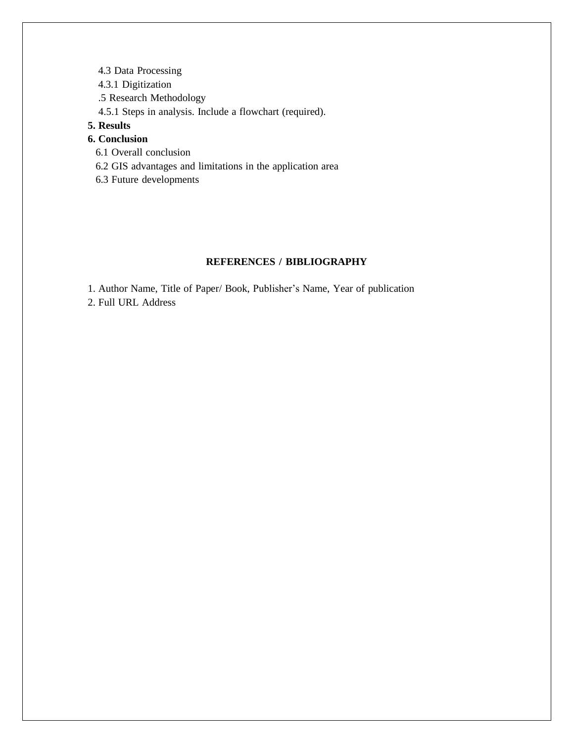- 4.3 Data Processing
- 4.3.1 Digitization
- .5 Research Methodology
- 4.5.1 Steps in analysis. Include a flowchart (required).

# **5. Results**

# **6. Conclusion**

- 6.1 Overall conclusion
- 6.2 GIS advantages and limitations in the application area
- 6.3 Future developments

## **REFERENCES / BIBLIOGRAPHY**

1. Author Name, Title of Paper/ Book, Publisher's Name, Year of publication

2. Full URL Address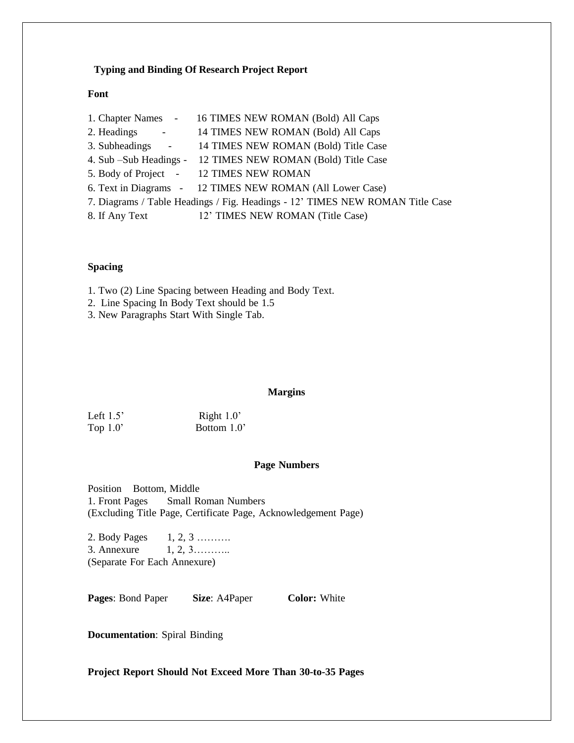#### **Typing and Binding Of Research Project Report**

#### **Font**

|                                                                               | 1. Chapter Names - 16 TIMES NEW ROMAN (Bold) All Caps                                                                                                                                                                                                                 |  |
|-------------------------------------------------------------------------------|-----------------------------------------------------------------------------------------------------------------------------------------------------------------------------------------------------------------------------------------------------------------------|--|
|                                                                               | 2. Headings - 14 TIMES NEW ROMAN (Bold) All Caps                                                                                                                                                                                                                      |  |
|                                                                               | 3. Subheadings - 14 TIMES NEW ROMAN (Bold) Title Case                                                                                                                                                                                                                 |  |
|                                                                               | 4. Sub – Sub Headings - 12 TIMES NEW ROMAN (Bold) Title Case                                                                                                                                                                                                          |  |
|                                                                               | 5. Body of Project - 12 TIMES NEW ROMAN                                                                                                                                                                                                                               |  |
|                                                                               | 6. Text in Diagrams - 12 TIMES NEW ROMAN (All Lower Case)                                                                                                                                                                                                             |  |
| 7. Diagrams / Table Headings / Fig. Headings - 12' TIMES NEW ROMAN Title Case |                                                                                                                                                                                                                                                                       |  |
|                                                                               | $\Omega$ if $\lambda$ is the contract of $\Omega$ in the contract of $\Omega$ is the contract of $\Omega$ is the contract of $\Omega$ is the contract of $\Omega$ is the contract of $\Omega$ is the contract of $\Omega$ is the contract of $\Omega$ is the contract |  |

#### 8. If Any Text 12' TIMES NEW ROMAN (Title Case)

#### **Spacing**

1. Two (2) Line Spacing between Heading and Body Text.

- 2. Line Spacing In Body Text should be 1.5
- 3. New Paragraphs Start With Single Tab.

#### **Margins**

| Left $1.5$ | Right $1.0$ ' |
|------------|---------------|
| Top $1.0$  | Bottom 1.0    |

#### **Page Numbers**

Position Bottom, Middle 1. Front Pages Small Roman Numbers (Excluding Title Page, Certificate Page, Acknowledgement Page)

2. Body Pages 1, 2, 3 ………. 3. Annexure 1, 2, 3……….. (Separate For Each Annexure)

**Pages: Bond Paper Size: A4Paper Color: White** 

**Documentation**: Spiral Binding

**Project Report Should Not Exceed More Than 30-to-35 Pages**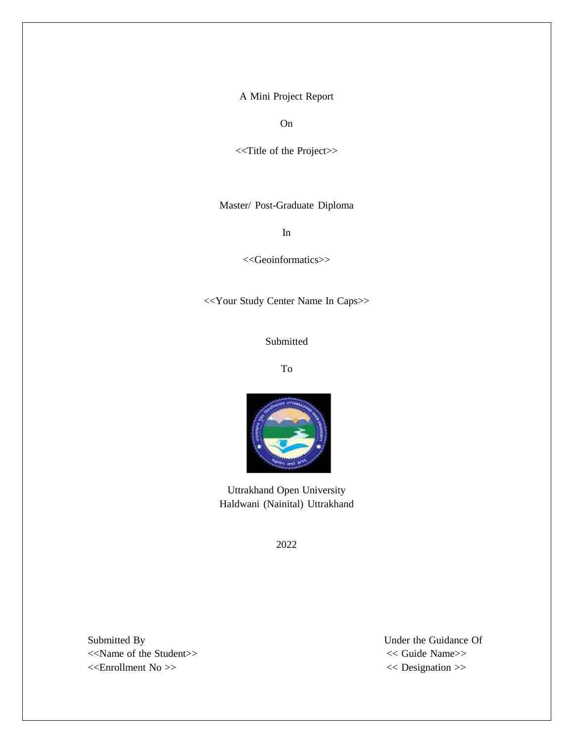A Mini Project Report

On

<<Title of the Project>>

Master/ Post-Graduate Diploma

In

<<Geoinformatics>>

<<Your Study Center Name In Caps>>

Submitted

To



Uttrakhand Open University Haldwani (Nainital) Uttrakhand

2022

Submitted By Under the Guidance Of <<Name of the Student>> << Guide Name>> <<Enrollment No >> << Designation >>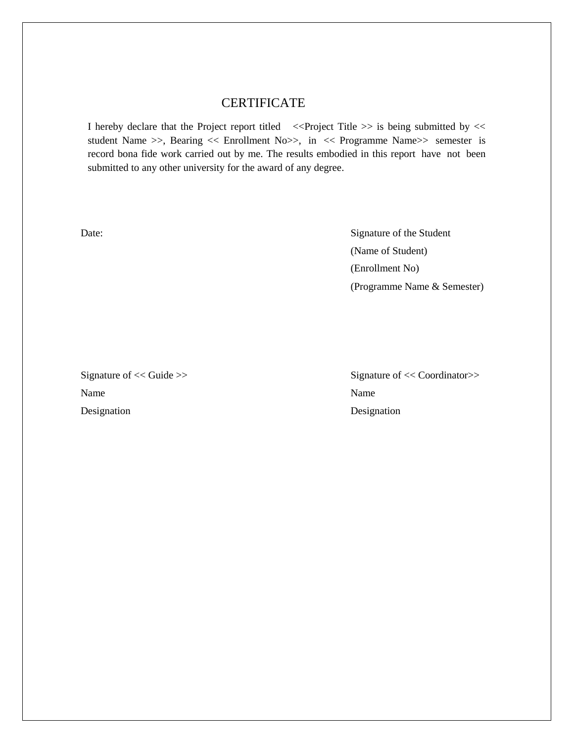# CERTIFICATE

I hereby declare that the Project report titled <<Project Title >> is being submitted by << student Name >>, Bearing << Enrollment No>>, in << Programme Name>> semester is record bona fide work carried out by me. The results embodied in this report have not been submitted to any other university for the award of any degree.

Date: Signature of the Student (Name of Student) (Enrollment No) (Programme Name & Semester)

Name Name Name Name Designation Designation

Signature of  $<<$  Guide >> Signature of  $<<$  Coordinator>>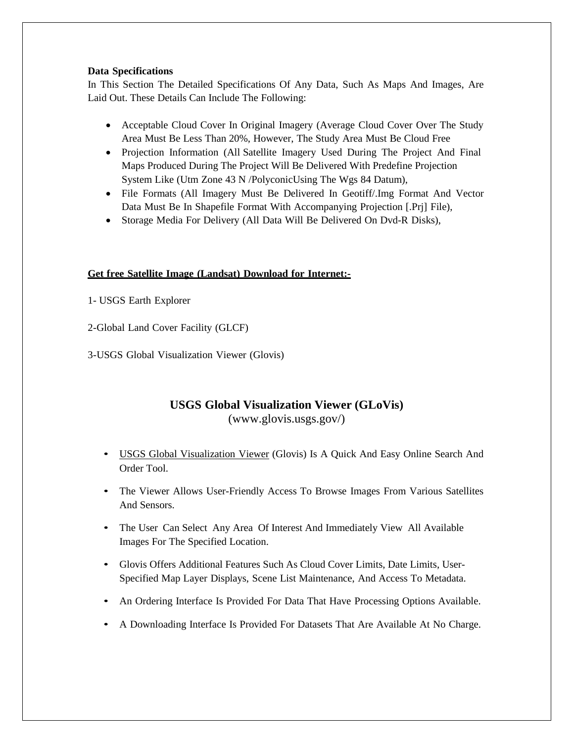## **Data Specifications**

In This Section The Detailed Specifications Of Any Data, Such As Maps And Images, Are Laid Out. These Details Can Include The Following:

- Acceptable Cloud Cover In Original Imagery (Average Cloud Cover Over The Study Area Must Be Less Than 20%, However, The Study Area Must Be Cloud Free
- Projection Information (All Satellite Imagery Used During The Project And Final Maps Produced During The Project Will Be Delivered With Predefine Projection System Like (Utm Zone 43 N /PolyconicUsing The Wgs 84 Datum),
- File Formats (All Imagery Must Be Delivered In Geotiff/.Img Format And Vector Data Must Be In Shapefile Format With Accompanying Projection [.Prj] File),
- Storage Media For Delivery (All Data Will Be Delivered On Dvd-R Disks),

## **Get free Satellite Image (Landsat) Download for Internet:-**

- 1- USGS Earth Explorer
- 2-Global Land Cover Facility (GLCF)
- 3-USGS Global Visualization Viewer (Glovis)

# **USGS Global Visualization Viewer (GLoVis)** [\(www.glovis.usgs.gov/\)](http://www.glovis.usgs.gov/))

- USGS Global Visualization Viewer (Glovis) Is A Quick And Easy Online Search And Order Tool.
- The Viewer Allows User-Friendly Access To Browse Images From Various Satellites And Sensors.
- The User Can Select Any Area Of Interest And Immediately View All Available Images For The Specified Location.
- Glovis Offers Additional Features Such As Cloud Cover Limits, Date Limits, User-Specified Map Layer Displays, Scene List Maintenance, And Access To Metadata.
- An Ordering Interface Is Provided For Data That Have Processing Options Available.
- A Downloading Interface Is Provided For Datasets That Are Available At No Charge.